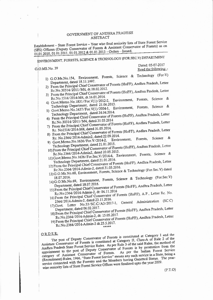## GOVERNMENT OF ANDHRA PRADESH ABSTRACT

Establishment - State Forest Service - Year wise final seniority lists of State Forest Service (SFS) Officers (Deputy Conservator of Forests & Assistant Conservator of Forests) as on 01.01.2010, 01.01.2011, 01.01.2012 & 01.01.2013 - Orders - Issued.

ENVIRONMENT, FORESTS, SCIENCE & TECHNOLOGY (FOR.SEC.V) DEPARTMENT

G,O.MS.No. 39

Dated: 05-07-2017 Read the following: -

- 1) G.O.Ms.No.154, Environment, Forests, Science & Technology (For-V) Department, dated 18.11.1997.
- 2) From the Principal Chief Conservator of Forests (HoFF), Andhra Pradesh, Letter Rc.No.30314/2011/M4, dt.18.02.2012.
- 3) From the Principal Chief Conservator of Forests (HoFF), Andhra Pradesh, Letter Rc.No.1514/2014-M4, dt.16.01.2014.
- 4) Govt.Memo.No.1831/For.V(1)/2012-2, Environment, Forests, Science & Technology Department, dated 21.06.2013.
- 5) Govt.Memo.No.1637/For.V(1)/2004-1, Environment, Forests, Science & Technology Department, dated 24.04.2014.
- 6) From the Principal Chief Conservator of Forests (HoFF), Andhra Pradesh, Letter Rc.No.30314/2011/M4, dated 31.05.2014
- 7) From the Principal Chief Conservator of Forests (HoFF), Andhra Pradesh, Letter Rc. No1514/2014-M4, dated 31.05.2014.
- 8) From the Principal Chief Conservator of Forests (HoFF), Andhra Pradesh, Letter Rc. No.2364/2014-Admin2, dated 22.09.2014.
- Science & 9) Govt.Memo.No.1636/For.V/2014-2, Environment, Forests, Technology Department, dated 21.01.2015.
- 10) From the Principal Chief Conservator of Forests (HoFF), Andhra Pradesh, Letter Rc.No.2364/2014-Admin2, dated 20.05.2015.
- 11) Govt. Memo. No. 1636/For. Sec. V/2014-4, Environment, Forests, Science & Technology Department, dated 21.01.2016.
- 12) From the Principal Chief Conservator of Forests (HoFF), Andhra Pradesh, Letter Rc.No.2364/2014-Admin-2, dated 31.03.2016.
- 13) G.O.Ms.No.68, Environment, Forests, Science & Technology (For.Sec.V) dated
- 14) G.O.Ms.No.69, Environment, Forests, Science & Technology (For.Sec.V) Department, dated 18.07.2016.
- 15) From the Principal Chief Conservator of Forests (HoFF), Andhra Pradesh, Letter Rc.No:2364/2014-Admin-2, dt: 04.11.2016
- 16) From the Principal Chief Conservator of Forests (HoFF), A.P., Letter Rc. No. 2364/2014-Admin-2, dated 23.11.2016.
- 17) Govt. Letter No.53/SC.C/A3/2017-1, General Administration (SC.C)
- 18) From the Principal Chief Conservator of Forests (HoFF), Andhra Pradesh, Letter Department, dated 06.02.2017.
- Rc.No.2364/2014-Admin-2, dt: 15.05.2017. 19) From the Principal Chief Conservator of Forests (HoFF), Andhra Pradesh, Letter
	- Rc.No.2364/2014-Admin-2 dt.25.5.2017.

## ORDER:

The post of Deputy Conservator of Forests is constituted at Category I and the Assistant Conservator of Forests is constituted at Category II, Class-A of Rule 2 of the Andhra Pradesh State Forest Service Rules. As per Rule 3 of the said Rules, the method of appointment to the post of Deputy Conservator of Forests is by promotion from the category of Assistant Conservator of Forests. As per the Indian Forest Service (Recruitment) Rules, 1966, "State Forest Service" means any such service in a State, being a service connected with the Forestry and the Members having Gazetted Status. The yearwise seniority lists of State Forest Service Offices were finalized upto the year 2009.

 $(P.T.O)$